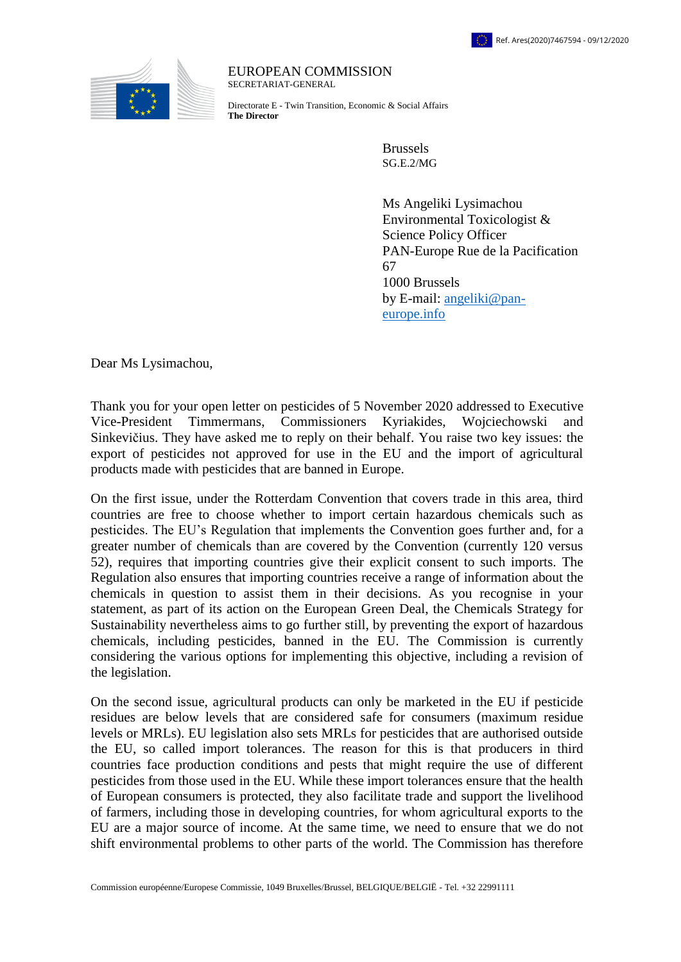

EUROPEAN COMMISSION SECRETARIAT-GENERAL

Directorate E - Twin Transition, Economic & Social Affairs **The Director**

> Brussels SG.E.2/MG

Ms Angeliki Lysimachou Environmental Toxicologist & Science Policy Officer PAN-Europe Rue de la Pacification 67 1000 Brussels by E-mail: [angeliki@pan](mailto:angeliki@pan-europe.inf)[europe.info](mailto:angeliki@pan-europe.inf)

Dear Ms Lysimachou,

Thank you for your open letter on pesticides of 5 November 2020 addressed to Executive Vice-President Timmermans, Commissioners Kyriakides, Wojciechowski and Sinkevičius. They have asked me to reply on their behalf. You raise two key issues: the export of pesticides not approved for use in the EU and the import of agricultural products made with pesticides that are banned in Europe.

On the first issue, under the Rotterdam Convention that covers trade in this area, third countries are free to choose whether to import certain hazardous chemicals such as pesticides. The EU's Regulation that implements the Convention goes further and, for a greater number of chemicals than are covered by the Convention (currently 120 versus 52), requires that importing countries give their explicit consent to such imports. The Regulation also ensures that importing countries receive a range of information about the chemicals in question to assist them in their decisions. As you recognise in your statement, as part of its action on the European Green Deal, the Chemicals Strategy for Sustainability nevertheless aims to go further still, by preventing the export of hazardous chemicals, including pesticides, banned in the EU. The Commission is currently considering the various options for implementing this objective, including a revision of the legislation.

On the second issue, agricultural products can only be marketed in the EU if pesticide residues are below levels that are considered safe for consumers (maximum residue levels or MRLs). EU legislation also sets MRLs for pesticides that are authorised outside the EU, so called import tolerances. The reason for this is that producers in third countries face production conditions and pests that might require the use of different pesticides from those used in the EU. While these import tolerances ensure that the health of European consumers is protected, they also facilitate trade and support the livelihood of farmers, including those in developing countries, for whom agricultural exports to the EU are a major source of income. At the same time, we need to ensure that we do not shift environmental problems to other parts of the world. The Commission has therefore